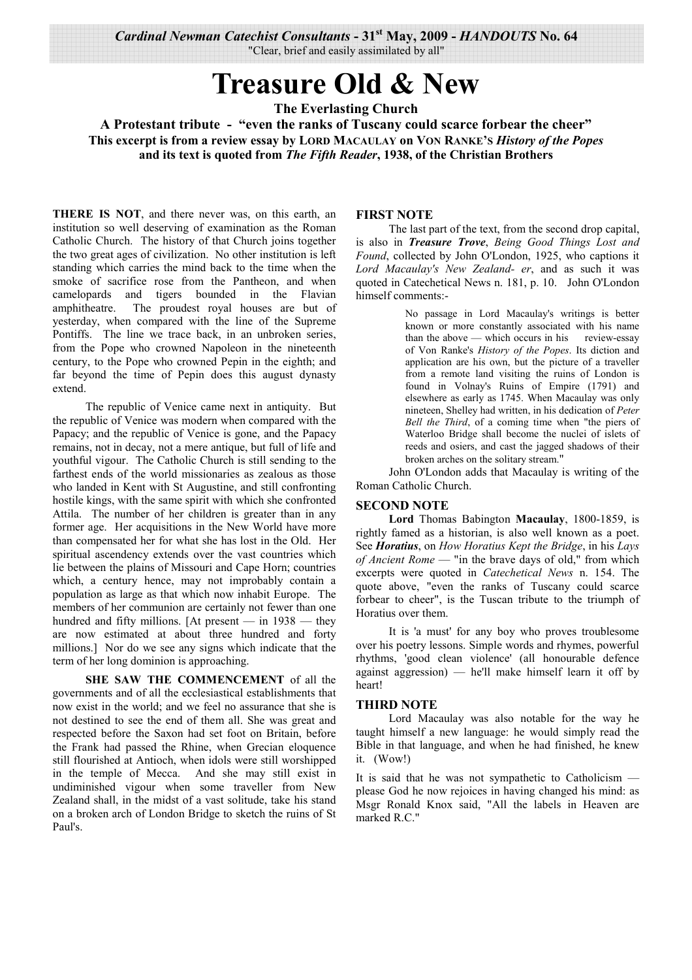Cardinal Newman Catechist Consultants - 31<sup>st</sup> May, 2009 - HANDOUTS No. 64 "Clear, brief and easily assimilated by all"

# **Treasure Old & New**

**The Everlasting Church** 

A Protestant tribute - "even the ranks of Tuscany could scarce forbear the cheer" This excerpt is from a review essay by LORD MACAULAY on VON RANKE'S History of the Popes and its text is quoted from The Fifth Reader, 1938, of the Christian Brothers

THERE IS NOT, and there never was, on this earth, an institution so well deserving of examination as the Roman Catholic Church. The history of that Church joins together the two great ages of civilization. No other institution is left standing which carries the mind back to the time when the smoke of sacrifice rose from the Pantheon, and when camelopards and tigers bounded in the Flavian amphitheatre. The proudest royal houses are but of yesterday, when compared with the line of the Supreme Pontiffs. The line we trace back, in an unbroken series, from the Pope who crowned Napoleon in the nineteenth century, to the Pope who crowned Pepin in the eighth; and far beyond the time of Pepin does this august dynasty extend.

The republic of Venice came next in antiquity. But the republic of Venice was modern when compared with the Papacy; and the republic of Venice is gone, and the Papacy remains, not in decay, not a mere antique, but full of life and youthful vigour. The Catholic Church is still sending to the farthest ends of the world missionaries as zealous as those who landed in Kent with St Augustine, and still confronting hostile kings, with the same spirit with which she confronted Attila. The number of her children is greater than in any former age. Her acquisitions in the New World have more than compensated her for what she has lost in the Old. Her spiritual ascendency extends over the vast countries which lie between the plains of Missouri and Cape Horn; countries which, a century hence, may not improbably contain a population as large as that which now inhabit Europe. The members of her communion are certainly not fewer than one hundred and fifty millions. [At present  $-$  in 1938  $-$  they are now estimated at about three hundred and forty millions.] Nor do we see any signs which indicate that the term of her long dominion is approaching.

SHE SAW THE COMMENCEMENT of all the governments and of all the ecclesiastical establishments that now exist in the world; and we feel no assurance that she is not destined to see the end of them all. She was great and respected before the Saxon had set foot on Britain, before the Frank had passed the Rhine, when Grecian eloquence still flourished at Antioch, when idols were still worshipped in the temple of Mecca. And she may still exist in undiminished vigour when some traveller from New Zealand shall, in the midst of a vast solitude, take his stand on a broken arch of London Bridge to sketch the ruins of St Paul's

#### **FIRST NOTE**

The last part of the text, from the second drop capital, is also in Treasure Trove, Being Good Things Lost and Found, collected by John O'London, 1925, who captions it Lord Macaulay's New Zealand- er, and as such it was quoted in Catechetical News n. 181, p. 10. John O'London himself comments:-

> No passage in Lord Macaulay's writings is better known or more constantly associated with his name than the above - which occurs in his review-essay of Von Ranke's History of the Popes. Its diction and application are his own, but the picture of a traveller from a remote land visiting the ruins of London is found in Volnay's Ruins of Empire (1791) and elsewhere as early as 1745. When Macaulay was only nineteen, Shelley had written, in his dedication of Peter Bell the Third, of a coming time when "the piers of Waterloo Bridge shall become the nuclei of islets of reeds and osiers, and cast the jagged shadows of their broken arches on the solitary stream."

John O'London adds that Macaulay is writing of the Roman Catholic Church.

#### **SECOND NOTE**

Lord Thomas Babington Macaulay, 1800-1859, is rightly famed as a historian, is also well known as a poet. See Horatius, on How Horatius Kept the Bridge, in his Lays of Ancient Rome — "in the brave days of old," from which excerpts were quoted in *Catechetical News* n. 154. The quote above, "even the ranks of Tuscany could scarce forbear to cheer", is the Tuscan tribute to the triumph of Horatius over them.

It is 'a must' for any boy who proves troublesome over his poetry lessons. Simple words and rhymes, powerful rhythms, 'good clean violence' (all honourable defence against aggression) — he'll make himself learn it off by heart!

#### **THIRD NOTE**

Lord Macaulay was also notable for the way he taught himself a new language: he would simply read the Bible in that language, and when he had finished, he knew it. (Wow!)

It is said that he was not sympathetic to Catholicism please God he now rejoices in having changed his mind: as Msgr Ronald Knox said, "All the labels in Heaven are marked R.C."